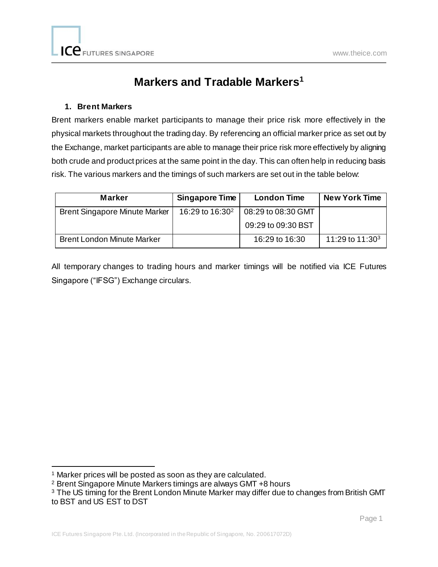# **Markers and Tradable Markers<sup>1</sup>**

### **1. Brent Markers**

Brent markers enable market participants to manage their price risk more effectively in the physical markets throughout the trading day. By referencing an official marker price as set out by the Exchange, market participants are able to manage their price risk more effectively by aligning both crude and product prices at the same point in the day. This can often help in reducing basis risk. The various markers and the timings of such markers are set out in the table below:

| <b>Marker</b>                        | Singapore Time              | <b>London Time</b> | <b>New York Time</b> |
|--------------------------------------|-----------------------------|--------------------|----------------------|
| <b>Brent Singapore Minute Marker</b> | 16:29 to 16:30 <sup>2</sup> | 08:29 to 08:30 GMT |                      |
|                                      |                             | 09:29 to 09:30 BST |                      |
| <b>Brent London Minute Marker</b>    |                             | 16:29 to 16:30     | 11:29 to $11:303$    |

All temporary changes to trading hours and marker timings will be notified via ICE Futures Singapore ("IFSG") Exchange circulars.

l

<sup>&</sup>lt;sup>1</sup> Marker prices will be posted as soon as they are calculated.

<sup>2</sup> Brent Singapore Minute Markers timings are always GMT +8 hours

<sup>&</sup>lt;sup>3</sup> The US timing for the Brent London Minute Marker may differ due to changes from British GMT to BST and US EST to DST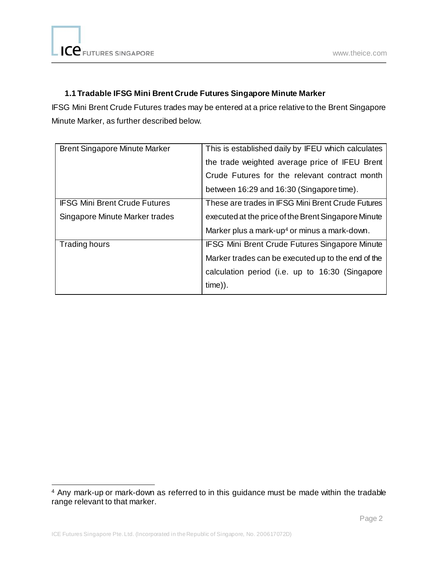# **1.1 Tradable IFSG Mini Brent Crude Futures Singapore Minute Marker**

IFSG Mini Brent Crude Futures trades may be entered at a price relative to the Brent Singapore Minute Marker, as further described below.

| <b>Brent Singapore Minute Marker</b> | This is established daily by IFEU which calculates       |
|--------------------------------------|----------------------------------------------------------|
|                                      | the trade weighted average price of IFEU Brent           |
|                                      | Crude Futures for the relevant contract month            |
|                                      | between 16:29 and 16:30 (Singapore time).                |
| <b>IFSG Mini Brent Crude Futures</b> | These are trades in IFSG Mini Brent Crude Futures        |
| Singapore Minute Marker trades       | executed at the price of the Brent Singapore Minute      |
|                                      | Marker plus a mark-up <sup>4</sup> or minus a mark-down. |
| <b>Trading hours</b>                 | <b>IFSG Mini Brent Crude Futures Singapore Minute</b>    |
|                                      | Marker trades can be executed up to the end of the       |
|                                      | calculation period (i.e. up to 16:30 (Singapore          |
|                                      | $time)$ ).                                               |

l <sup>4</sup> Any mark-up or mark-down as referred to in this guidance must be made within the tradable range relevant to that marker.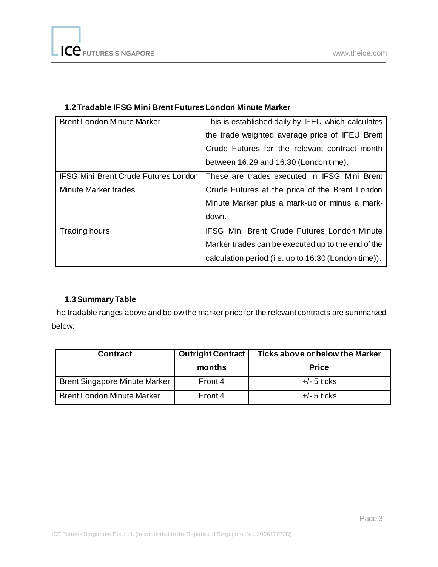| <b>Brent London Minute Marker</b>           | This is established daily by IFEU which calculates   |
|---------------------------------------------|------------------------------------------------------|
|                                             | the trade weighted average price of IFEU Brent       |
|                                             | Crude Futures for the relevant contract month        |
|                                             | between 16:29 and 16:30 (London time).               |
| <b>IFSG Mini Brent Crude Futures London</b> | These are trades executed in IFSG Mini Brent         |
| <b>Minute Marker trades</b>                 | Crude Futures at the price of the Brent London       |
|                                             | Minute Marker plus a mark-up or minus a mark-        |
|                                             | down.                                                |
| <b>Trading hours</b>                        | <b>IFSG Mini Brent Crude Futures London Minute</b>   |
|                                             | Marker trades can be executed up to the end of the   |
|                                             | calculation period (i.e. up to 16:30 (London time)). |

## **1.2 Tradable IFSG Mini Brent Futures London Minute Marker**

## **1.3Summary Table**

The tradable ranges above and below the marker price for the relevant contracts are summarized below:

| <b>Contract</b>                      | <b>Outright Contract</b> | Ticks above or below the Marker |
|--------------------------------------|--------------------------|---------------------------------|
|                                      | months                   | <b>Price</b>                    |
| <b>Brent Singapore Minute Marker</b> | Front 4                  | $+/- 5$ ticks                   |
| <b>Brent London Minute Marker</b>    | Front 4                  | $+/-$ 5 ticks                   |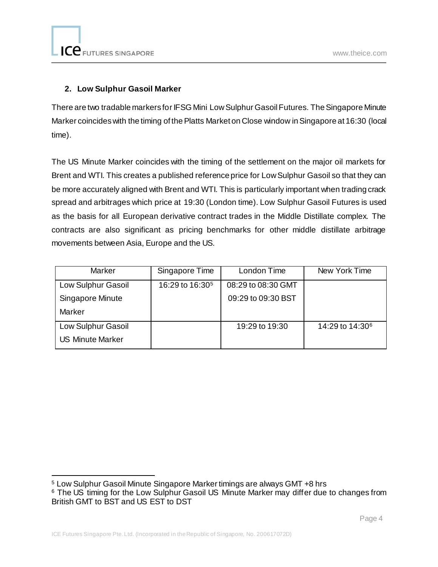## **2. Low Sulphur Gasoil Marker**

There are two tradable markers for IFSG Mini Low Sulphur Gasoil Futures. The Singapore Minute Marker coincides with the timing of the Platts Market on Close window in Singapore at 16:30 (local time).

The US Minute Marker coincides with the timing of the settlement on the major oil markets for Brent and WTI. This creates a published reference price for Low Sulphur Gasoil so that they can be more accurately aligned with Brent and WTI. This is particularly important when trading crack spread and arbitrages which price at 19:30 (London time). Low Sulphur Gasoil Futures is used as the basis for all European derivative contract trades in the Middle Distillate complex. The contracts are also significant as pricing benchmarks for other middle distillate arbitrage movements between Asia, Europe and the US.

| Marker                  | Singapore Time              | London Time        | New York Time               |
|-------------------------|-----------------------------|--------------------|-----------------------------|
| Low Sulphur Gasoil      | 16:29 to 16:30 <sup>5</sup> | 08:29 to 08:30 GMT |                             |
| Singapore Minute        |                             | 09:29 to 09:30 BST |                             |
| Marker                  |                             |                    |                             |
| Low Sulphur Gasoil      |                             | 19:29 to 19:30     | 14:29 to 14:30 <sup>6</sup> |
| <b>US Minute Marker</b> |                             |                    |                             |

l <sup>5</sup> Low Sulphur Gasoil Minute Singapore Marker timings are always GMT +8 hrs

<sup>&</sup>lt;sup>6</sup> The US timing for the Low Sulphur Gasoil US Minute Marker may differ due to changes from British GMT to BST and US EST to DST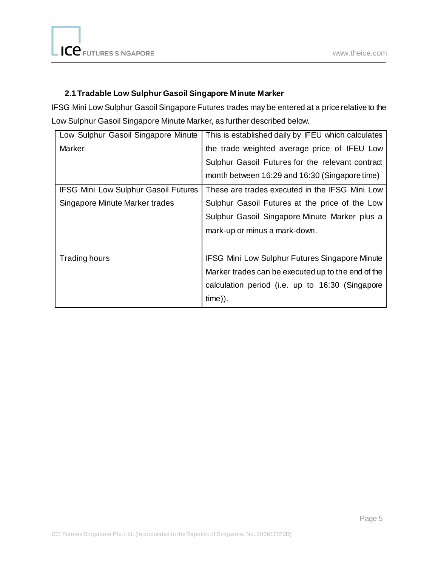## **2.1 Tradable Low Sulphur Gasoil Singapore Minute Marker**

IFSG Mini Low Sulphur Gasoil Singapore Futures trades may be entered at a price relative to the Low Sulphur Gasoil Singapore Minute Marker, as further described below.

| Low Sulphur Gasoil Singapore Minute         | This is established daily by IFEU which calculates    |
|---------------------------------------------|-------------------------------------------------------|
| Marker                                      | the trade weighted average price of IFEU Low          |
|                                             | Sulphur Gasoil Futures for the relevant contract      |
|                                             | month between 16:29 and 16:30 (Singapore time)        |
| <b>IFSG Mini Low Sulphur Gasoil Futures</b> | These are trades executed in the IFSG Mini Low        |
| Singapore Minute Marker trades              | Sulphur Gasoil Futures at the price of the Low        |
|                                             | Sulphur Gasoil Singapore Minute Marker plus a         |
|                                             | mark-up or minus a mark-down.                         |
|                                             |                                                       |
| Trading hours                               | <b>IFSG Mini Low Sulphur Futures Singapore Minute</b> |
|                                             | Marker trades can be executed up to the end of the    |
|                                             | calculation period (i.e. up to 16:30 (Singapore       |
|                                             | $time)$ ).                                            |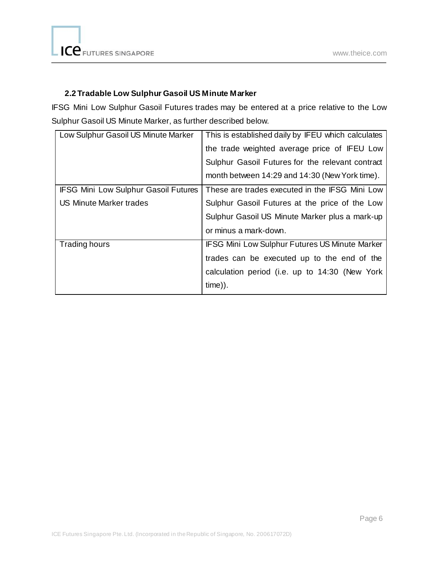## **2.2 Tradable Low Sulphur Gasoil US Minute Marker**

IFSG Mini Low Sulphur Gasoil Futures trades may be entered at a price relative to the Low Sulphur Gasoil US Minute Marker, as further described below.

| Low Sulphur Gasoil US Minute Marker         | This is established daily by IFEU which calculates    |
|---------------------------------------------|-------------------------------------------------------|
|                                             | the trade weighted average price of IFEU Low          |
|                                             | Sulphur Gasoil Futures for the relevant contract      |
|                                             | month between 14:29 and 14:30 (New York time).        |
| <b>IFSG Mini Low Sulphur Gasoil Futures</b> | These are trades executed in the IFSG Mini Low        |
| <b>US Minute Marker trades</b>              | Sulphur Gasoil Futures at the price of the Low        |
|                                             | Sulphur Gasoil US Minute Marker plus a mark-up        |
|                                             | or minus a mark-down.                                 |
| Trading hours                               | <b>IFSG Mini Low Sulphur Futures US Minute Marker</b> |
|                                             | trades can be executed up to the end of the           |
|                                             | calculation period (i.e. up to 14:30 (New York        |
|                                             | $time)$ ).                                            |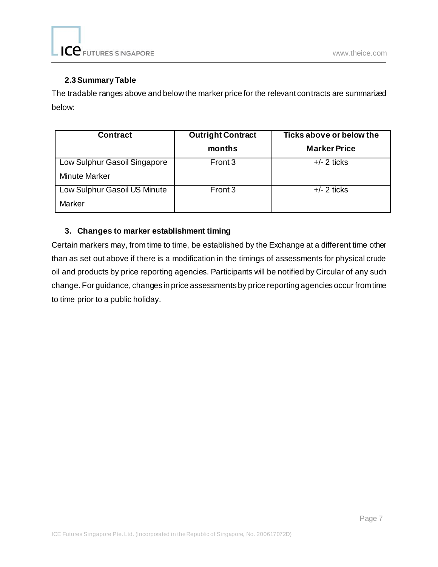#### **2.3Summary Table**

The tradable ranges above and below the marker price for the relevant contracts are summarized below:

| <b>Contract</b>              | <b>Outright Contract</b> | Ticks above or below the |
|------------------------------|--------------------------|--------------------------|
|                              | months                   | <b>Marker Price</b>      |
| Low Sulphur Gasoil Singapore | Front 3                  | $+/- 2$ ticks            |
| <b>Minute Marker</b>         |                          |                          |
| Low Sulphur Gasoil US Minute | Front 3                  | $+/- 2$ ticks            |
| Marker                       |                          |                          |

### **3. Changes to marker establishment timing**

Certain markers may, from time to time, be established by the Exchange at a different time other than as set out above if there is a modification in the timings of assessments for physical crude oil and products by price reporting agencies. Participants will be notified by Circular of any such change. For guidance, changes in price assessments by price reporting agencies occur from time to time prior to a public holiday.